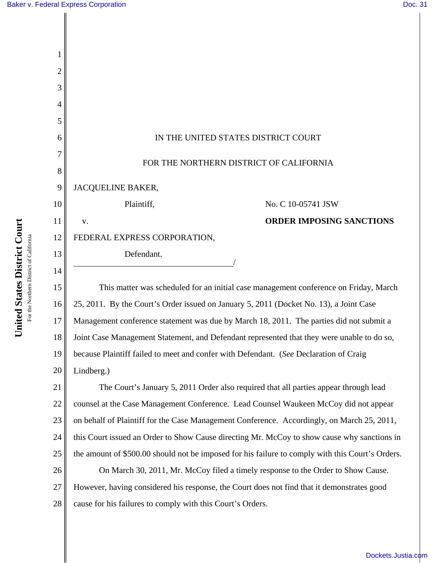